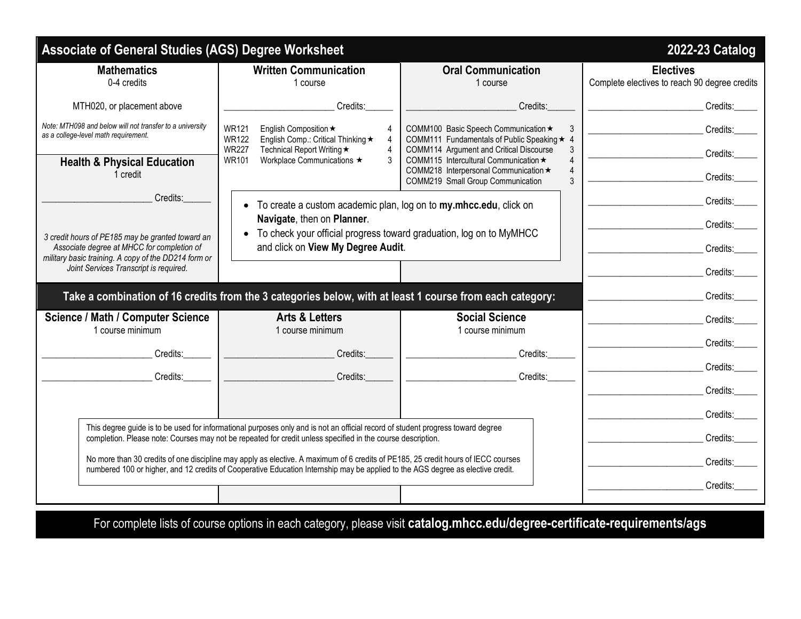| <b>Associate of General Studies (AGS) Degree Worksheet</b><br>2022-23 Catalog                                                                                                                                                                  |                                                                                                                                 |                                                                                          |                                                                   |  |  |
|------------------------------------------------------------------------------------------------------------------------------------------------------------------------------------------------------------------------------------------------|---------------------------------------------------------------------------------------------------------------------------------|------------------------------------------------------------------------------------------|-------------------------------------------------------------------|--|--|
| <b>Mathematics</b><br>0-4 credits                                                                                                                                                                                                              | <b>Written Communication</b><br>1 course                                                                                        | <b>Oral Communication</b><br>1 course                                                    | <b>Electives</b><br>Complete electives to reach 90 degree credits |  |  |
| MTH020, or placement above                                                                                                                                                                                                                     | Credits:                                                                                                                        | Credits:                                                                                 | Credits:                                                          |  |  |
| Note: MTH098 and below will not transfer to a university<br>as a college-level math requirement.                                                                                                                                               | <b>WR121</b><br>English Composition $\star$<br><b>WR122</b><br>English Comp.: Critical Thinking ★<br>$\overline{4}$             | 3<br>COMM100 Basic Speech Communication ★<br>COMM111 Fundamentals of Public Speaking ★ 4 | Credits:                                                          |  |  |
| <b>Health &amp; Physical Education</b>                                                                                                                                                                                                         | <b>WR227</b><br>Technical Report Writing ★<br>4<br><b>WR101</b><br>Workplace Communications ★<br>3                              | COMM114 Argument and Critical Discourse<br>3<br>COMM115 Intercultural Communication ★    | Credits:                                                          |  |  |
| 1 credit                                                                                                                                                                                                                                       |                                                                                                                                 | COMM218 Interpersonal Communication ★<br>3<br>COMM219 Small Group Communication          | Credits:                                                          |  |  |
| Credits:                                                                                                                                                                                                                                       | To create a custom academic plan, log on to my.mhcc.edu, click on                                                               |                                                                                          | Credits:                                                          |  |  |
|                                                                                                                                                                                                                                                | Navigate, then on Planner.<br>To check your official progress toward graduation, log on to MyMHCC                               |                                                                                          | Credits:                                                          |  |  |
| 3 credit hours of PE185 may be granted toward an<br>Associate degree at MHCC for completion of                                                                                                                                                 | and click on View My Degree Audit.                                                                                              | Credits:                                                                                 |                                                                   |  |  |
| military basic training. A copy of the DD214 form or<br>Joint Services Transcript is required.                                                                                                                                                 |                                                                                                                                 |                                                                                          | Credits:                                                          |  |  |
|                                                                                                                                                                                                                                                | Take a combination of 16 credits from the 3 categories below, with at least 1 course from each category:                        |                                                                                          | Credits:                                                          |  |  |
| Science / Math / Computer Science                                                                                                                                                                                                              | <b>Arts &amp; Letters</b>                                                                                                       | <b>Social Science</b>                                                                    | Credits:                                                          |  |  |
| 1 course minimum                                                                                                                                                                                                                               | 1 course minimum                                                                                                                | 1 course minimum                                                                         | Credits:                                                          |  |  |
| Credits:                                                                                                                                                                                                                                       | Credits:                                                                                                                        | Credits:                                                                                 | Credits:                                                          |  |  |
| Credits:                                                                                                                                                                                                                                       | Credits:                                                                                                                        | Credits:                                                                                 | Credits:                                                          |  |  |
|                                                                                                                                                                                                                                                |                                                                                                                                 |                                                                                          | Credits:                                                          |  |  |
| This degree guide is to be used for informational purposes only and is not an official record of student progress toward degree<br>completion. Please note: Courses may not be repeated for credit unless specified in the course description. | Credits:                                                                                                                        |                                                                                          |                                                                   |  |  |
| No more than 30 credits of one discipline may apply as elective. A maximum of 6 credits of PE185, 25 credit hours of IECC courses                                                                                                              | Credits:                                                                                                                        |                                                                                          |                                                                   |  |  |
|                                                                                                                                                                                                                                                | numbered 100 or higher, and 12 credits of Cooperative Education Internship may be applied to the AGS degree as elective credit. |                                                                                          | Credits:                                                          |  |  |

For complete lists of course options in each category, please visit **catalog.mhcc.edu/degree-certificate-requirements/ags**